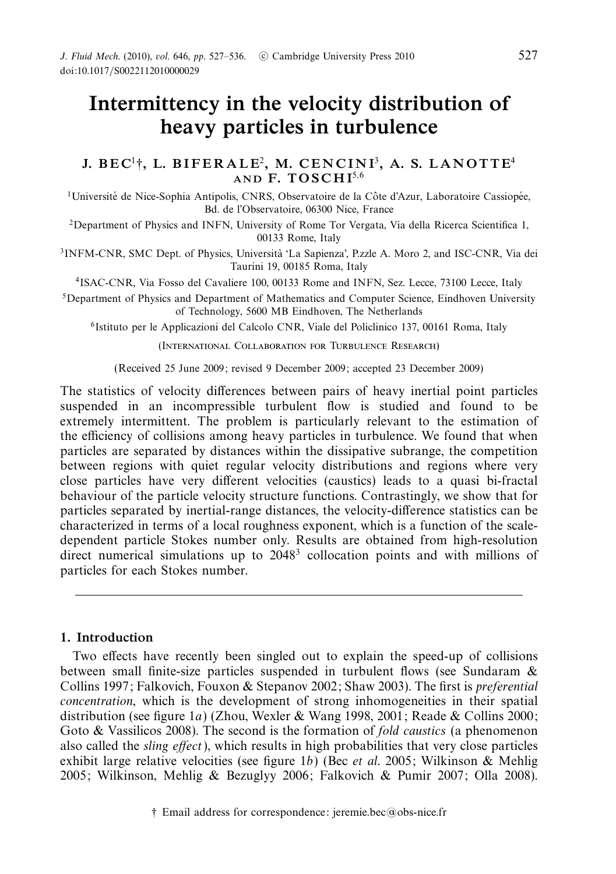# *Intermittency in the velocity distribution of heavy particles in turbulence*

# *J. B E C*<sup>1</sup>†*, L. B I F E R A L E*<sup>2</sup>*, M. C E N C I N I*<sup>3</sup>*, A. S. L A N O T T E*<sup>4</sup> *AND F. T O S C H I*<sup>5</sup>*,*<sup>6</sup>

 $1$ Université de Nice-Sophia Antipolis, CNRS, Observatoire de la Côte d'Azur, Laboratoire Cassiopée, Bd. de l'Observatoire, 06300 Nice, France

2Department of Physics and INFN, University of Rome Tor Vergata, Via della Ricerca Scientifica 1, 00133 Rome, Italy

3INFM-CNR, SMC Dept. of Physics, Universita 'La Sapienza', P.zzle A. Moro 2, and ISC-CNR, Via dei ` Taurini 19, 00185 Roma, Italy

4ISAC-CNR, Via Fosso del Cavaliere 100, 00133 Rome and INFN, Sez. Lecce, 73100 Lecce, Italy

5Department of Physics and Department of Mathematics and Computer Science, Eindhoven University of Technology, 5600 MB Eindhoven, The Netherlands

6Istituto per le Applicazioni del Calcolo CNR, Viale del Policlinico 137, 00161 Roma, Italy

(International Collaboration for Turbulence Research)

(Received 25 June 2009; revised 9 December 2009; accepted 23 December 2009)

The statistics of velocity differences between pairs of heavy inertial point particles suspended in an incompressible turbulent flow is studied and found to be extremely intermittent. The problem is particularly relevant to the estimation of the efficiency of collisions among heavy particles in turbulence. We found that when particles are separated by distances within the dissipative subrange, the competition between regions with quiet regular velocity distributions and regions where very close particles have very different velocities (caustics) leads to a quasi bi-fractal behaviour of the particle velocity structure functions. Contrastingly, we show that for particles separated by inertial-range distances, the velocity-difference statistics can be characterized in terms of a local roughness exponent, which is a function of the scaledependent particle Stokes number only. Results are obtained from high-resolution direct numerical simulations up to  $2048<sup>3</sup>$  collocation points and with millions of particles for each Stokes number.

# *1. Introduction*

Two effects have recently been singled out to explain the speed-up of collisions between small finite-size particles suspended in turbulent flows (see Sundaram & Collins 1997; Falkovich, Fouxon & Stepanov 2002; Shaw 2003). The first is preferential concentration, which is the development of strong inhomogeneities in their spatial distribution (see figure 1a) (Zhou, Wexler & Wang 1998, 2001; Reade & Collins 2000; Goto & Vassilicos 2008). The second is the formation of *fold caustics* (a phenomenon also called the sling effect), which results in high probabilities that very close particles exhibit large relative velocities (see figure 1b) (Bec *et al.* 2005; Wilkinson & Mehlig 2005; Wilkinson, Mehlig & Bezuglyy 2006; Falkovich & Pumir 2007; Olla 2008).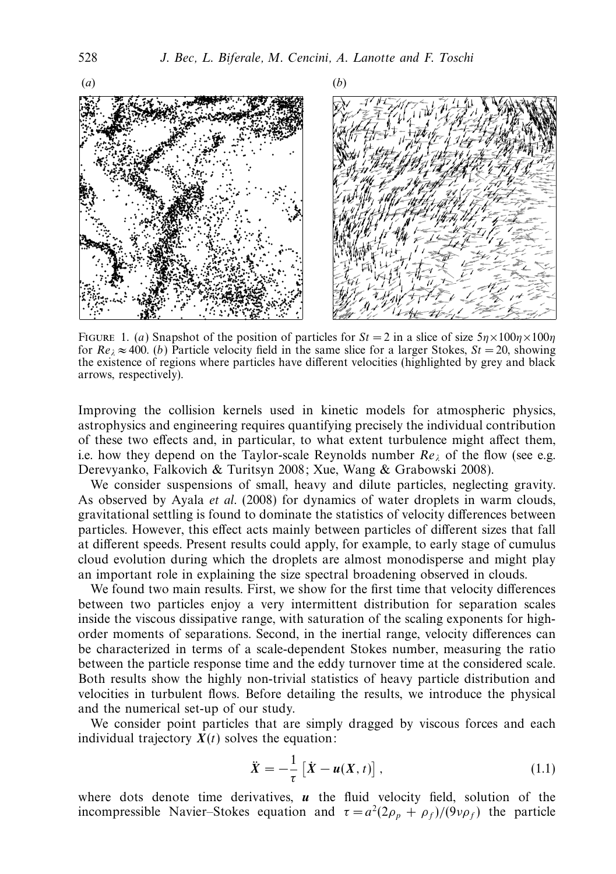

FIGURE 1. (a) Snapshot of the position of particles for  $St = 2$  in a slice of size  $5\eta \times 100\eta \times 100\eta$ for  $Re_\lambda \approx 400$ . (b) Particle velocity field in the same slice for a larger Stokes,  $St = 20$ , showing the existence of regions where particles have different velocities (highlighted by grey and black arrows, respectively).

Improving the collision kernels used in kinetic models for atmospheric physics, astrophysics and engineering requires quantifying precisely the individual contribution of these two effects and, in particular, to what extent turbulence might affect them, i.e. how they depend on the Taylor-scale Reynolds number Re*<sup>λ</sup>* of the flow (see e.g. Derevyanko, Falkovich & Turitsyn 2008; Xue, Wang & Grabowski 2008).

We consider suspensions of small, heavy and dilute particles, neglecting gravity. As observed by Ayala et al. (2008) for dynamics of water droplets in warm clouds, gravitational settling is found to dominate the statistics of velocity differences between particles. However, this effect acts mainly between particles of different sizes that fall at different speeds. Present results could apply, for example, to early stage of cumulus cloud evolution during which the droplets are almost monodisperse and might play an important role in explaining the size spectral broadening observed in clouds.

We found two main results. First, we show for the first time that velocity differences between two particles enjoy a very intermittent distribution for separation scales inside the viscous dissipative range, with saturation of the scaling exponents for highorder moments of separations. Second, in the inertial range, velocity differences can be characterized in terms of a scale-dependent Stokes number, measuring the ratio between the particle response time and the eddy turnover time at the considered scale. Both results show the highly non-trivial statistics of heavy particle distribution and velocities in turbulent flows. Before detailing the results, we introduce the physical and the numerical set-up of our study.

We consider point particles that are simply dragged by viscous forces and each individual trajectory  $X(t)$  solves the equation:

$$
\ddot{X} = -\frac{1}{\tau} \left[ \dot{X} - \boldsymbol{u}(X, t) \right], \tag{1.1}
$$

where dots denote time derivatives, *u* the fluid velocity field, solution of the incompressible Navier–Stokes equation and  $\tau = a^2(2\rho_p + \rho_f)/(9\nu\rho_f)$  the particle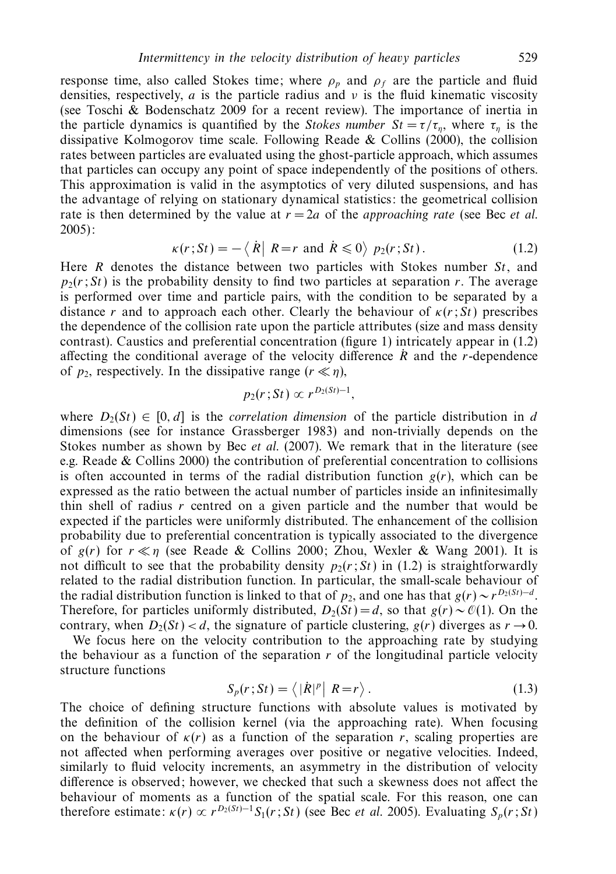response time, also called Stokes time; where  $\rho_p$  and  $\rho_f$  are the particle and fluid densities, respectively, *a* is the particle radius and *ν* is the fluid kinematic viscosity (see Toschi & Bodenschatz 2009 for a recent review). The importance of inertia in the particle dynamics is quantified by the *Stokes number*  $St = \tau/\tau_n$ , where  $\tau_n$  is the dissipative Kolmogorov time scale. Following Reade  $\&$  Collins (2000), the collision rates between particles are evaluated using the ghost-particle approach, which assumes that particles can occupy any point of space independently of the positions of others. This approximation is valid in the asymptotics of very diluted suspensions, and has the advantage of relying on stationary dynamical statistics: the geometrical collision rate is then determined by the value at  $r = 2a$  of the *approaching rate* (see Bec *et al.*) 2005):

$$
\kappa(r; St) = -\langle R \mid R = r \text{ and } R \leq 0 \rangle p_2(r; St). \tag{1.2}
$$

Here *R* denotes the distance between two particles with Stokes number  $St$ , and  $p_2(r;St)$  is the probability density to find two particles at separation *r*. The average is performed over time and particle pairs, with the condition to be separated by a distance *r* and to approach each other. Clearly the behaviour of  $\kappa(r;St)$  prescribes the dependence of the collision rate upon the particle attributes (size and mass density contrast). Caustics and preferential concentration (figure 1) intricately appear in (1.2) affecting the conditional average of the velocity difference *R*˙ and the *r*-dependence of  $p_2$ , respectively. In the dissipative range  $(r \ll \eta)$ ,

$$
p_2(r;St) \propto r^{D_2(St)-1},
$$

where  $D_2(St) \in [0, d]$  is the *correlation dimension* of the particle distribution in *d* dimensions (see for instance Grassberger 1983) and non-trivially depends on the Stokes number as shown by Bec et al. (2007). We remark that in the literature (see e.g. Reade & Collins 2000) the contribution of preferential concentration to collisions is often accounted in terms of the radial distribution function  $g(r)$ , which can be expressed as the ratio between the actual number of particles inside an infinitesimally thin shell of radius *r* centred on a given particle and the number that would be expected if the particles were uniformly distributed. The enhancement of the collision probability due to preferential concentration is typically associated to the divergence of  $g(r)$  for  $r \ll n$  (see Reade & Collins 2000; Zhou, Wexler & Wang 2001). It is not difficult to see that the probability density  $p_2(r; St)$  in (1.2) is straightforwardly related to the radial distribution function. In particular, the small-scale behaviour of the radial distribution function is linked to that of  $p_2$ , and one has that  $g(r) \sim r^{D_2(St)-d}$ . Therefore, for particles uniformly distributed,  $D_2(St) = d$ , so that  $g(r) \sim \mathcal{O}(1)$ . On the contrary, when  $D_2(St) < d$ , the signature of particle clustering,  $g(r)$  diverges as  $r \to 0$ .

We focus here on the velocity contribution to the approaching rate by studying the behaviour as a function of the separation  $r$  of the longitudinal particle velocity structure functions

$$
S_p(r;St) = \langle |R|^p | R = r \rangle.
$$
 (1.3)

The choice of defining structure functions with absolute values is motivated by the definition of the collision kernel (via the approaching rate). When focusing on the behaviour of  $\kappa(r)$  as a function of the separation *r*, scaling properties are not affected when performing averages over positive or negative velocities. Indeed, similarly to fluid velocity increments, an asymmetry in the distribution of velocity difference is observed; however, we checked that such a skewness does not affect the behaviour of moments as a function of the spatial scale. For this reason, one can therefore estimate:  $\kappa(r) \propto r^{D_2(St)-1} S_1(r; St)$  (see Bec *et al.* 2005). Evaluating  $S_n(r; St)$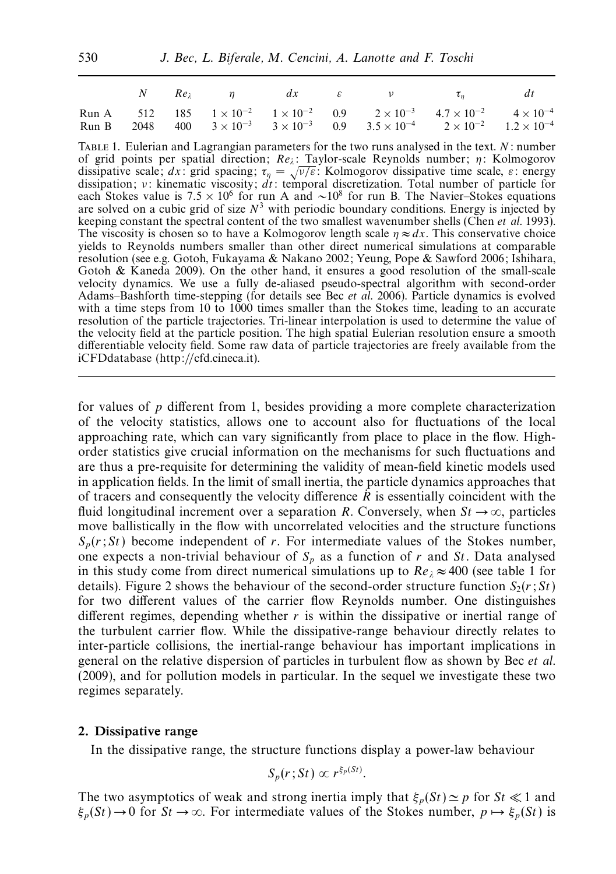|  |  |  | $N$ $Re_i$ $\eta$ $dx$ $\varepsilon$ $v$ $\tau_n$ $dt$                                                                                                                                                                                      |  |
|--|--|--|---------------------------------------------------------------------------------------------------------------------------------------------------------------------------------------------------------------------------------------------|--|
|  |  |  | Run A 512 185 $1 \times 10^{-2}$ $1 \times 10^{-2}$ 0.9 $2 \times 10^{-3}$ $4.7 \times 10^{-2}$ $4 \times 10^{-4}$<br>Run B 2048 400 $3 \times 10^{-3}$ $3 \times 10^{-3}$ 0.9 $3.5 \times 10^{-4}$ $2 \times 10^{-2}$ $1.2 \times 10^{-4}$ |  |

Table 1. Eulerian and Lagrangian parameters for the two runs analysed in the text. *N*: number of grid points per spatial direction;  $Re_{\lambda}$ : Taylor-scale Reynolds number;  $\eta$ : Kolmogorov dissipative scale;  $dx$ : grid spacing;  $\tau_{\eta} = \sqrt{\nu/\varepsilon}$ : Kolmogorov dissipative time scale,  $\varepsilon$ : energy dissipation; *ν*: kinematic viscosity; *dt*: temporal discretization. Total number of particle for each Stokes value is  $7.5 \times 10^6$  for run A and  $\sim 10^8$  for run B. The Navier–Stokes equations are solved on a cubic grid of size  $N<sup>3</sup>$  with periodic boundary conditions. Energy is injected by keeping constant the spectral content of the two smallest wavenumber shells (Chen *et al.* 1993). The viscosity is chosen so to have a Kolmogorov length scale  $\eta \approx dx$ . This conservative choice yields to Reynolds numbers smaller than other direct numerical simulations at comparable resolution (see e.g. Gotoh, Fukayama & Nakano 2002; Yeung, Pope & Sawford 2006; Ishihara, Gotoh & Kaneda 2009). On the other hand, it ensures a good resolution of the small-scale velocity dynamics. We use a fully de-aliased pseudo-spectral algorithm with second-order Adams–Bashforth time-stepping (for details see Bec *et al.* 2006). Particle dynamics is evolved with a time steps from 10 to 1000 times smaller than the Stokes time, leading to an accurate resolution of the particle trajectories. Tri-linear interpolation is used to determine the value of the velocity field at the particle position. The high spatial Eulerian resolution ensure a smooth differentiable velocity field. Some raw data of particle trajectories are freely available from the iCFDdatabase (http://cfd.cineca.it).

for values of *p* different from 1, besides providing a more complete characterization of the velocity statistics, allows one to account also for fluctuations of the local approaching rate, which can vary significantly from place to place in the flow. Highorder statistics give crucial information on the mechanisms for such fluctuations and are thus a pre-requisite for determining the validity of mean-field kinetic models used in application fields. In the limit of small inertia, the particle dynamics approaches that of tracers and consequently the velocity difference  $\hat{R}$  is essentially coincident with the fluid longitudinal increment over a separation *R*. Conversely, when  $St \to \infty$ , particles move ballistically in the flow with uncorrelated velocities and the structure functions  $S_p(r;St)$  become independent of *r*. For intermediate values of the Stokes number, one expects a non-trivial behaviour of  $S_p$  as a function of  $r$  and  $St$ . Data analysed in this study come from direct numerical simulations up to  $Re<sub>\lambda</sub> \approx 400$  (see table 1 for details). Figure 2 shows the behaviour of the second-order structure function  $S_2(r;St)$ for two different values of the carrier flow Reynolds number. One distinguishes different regimes, depending whether *r* is within the dissipative or inertial range of the turbulent carrier flow. While the dissipative-range behaviour directly relates to inter-particle collisions, the inertial-range behaviour has important implications in general on the relative dispersion of particles in turbulent flow as shown by Bec et al. (2009), and for pollution models in particular. In the sequel we investigate these two regimes separately.

## *2. Dissipative range*

In the dissipative range, the structure functions display a power-law behaviour

$$
S_p(r;St) \propto r^{\xi_p(St)}.
$$

The two asymptotics of weak and strong inertia imply that  $\xi_p(St) \simeq p$  for  $St \ll 1$  and  $\xi_p(St) \to 0$  for  $St \to \infty$ . For intermediate values of the Stokes number,  $p \mapsto \xi_p(St)$  is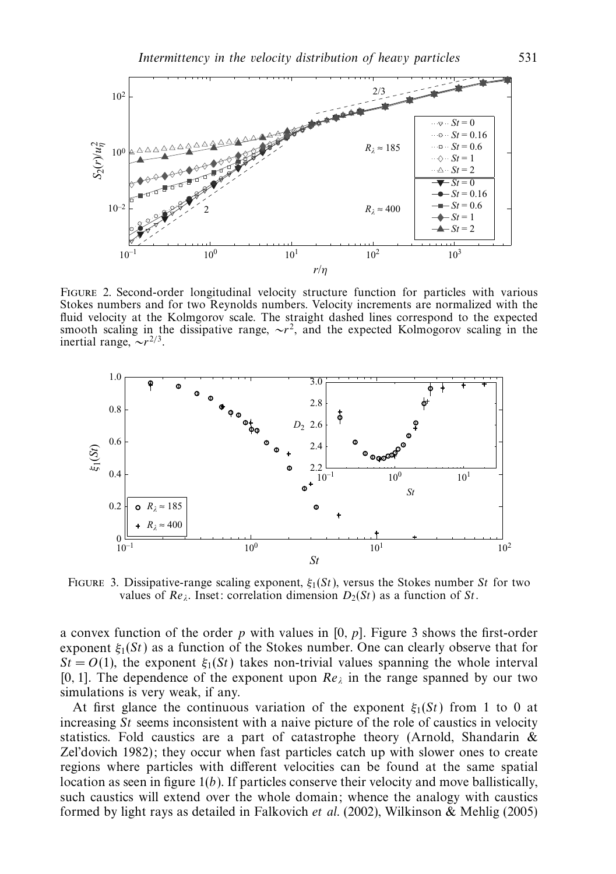

FIGURE 2. Second-order longitudinal velocity structure function for particles with various Stokes numbers and for two Reynolds numbers. Velocity increments are normalized with the fluid velocity at the Kolmgorov scale. The straight dashed lines correspond to the expected smooth scaling in the dissipative range,  $\sim r^2$ , and the expected Kolmogorov scaling in the inertial range,  $\sim r^{2/3}$ .



FIGURE 3. Dissipative-range scaling exponent,  $\xi_1(St)$ , versus the Stokes number St for two values of  $Re_\lambda$ . Inset: correlation dimension  $D_2(St)$  as a function of St.

a convex function of the order *p* with values in [0*, p*]. Figure 3 shows the first-order exponent  $\xi_1(St)$  as a function of the Stokes number. One can clearly observe that for  $St = O(1)$ , the exponent  $\xi_1(St)$  takes non-trivial values spanning the whole interval [0*,* 1]. The dependence of the exponent upon Re*<sup>λ</sup>* in the range spanned by our two simulations is very weak, if any.

At first glance the continuous variation of the exponent  $\xi_1(St)$  from 1 to 0 at increasing  $\tilde{S}t$  seems inconsistent with a naive picture of the role of caustics in velocity statistics. Fold caustics are a part of catastrophe theory (Arnold, Shandarin  $\&$ Zel'dovich 1982); they occur when fast particles catch up with slower ones to create regions where particles with different velocities can be found at the same spatial location as seen in figure  $1(b)$ . If particles conserve their velocity and move ballistically, such caustics will extend over the whole domain; whence the analogy with caustics formed by light rays as detailed in Falkovich et al. (2002), Wilkinson  $\&$  Mehlig (2005)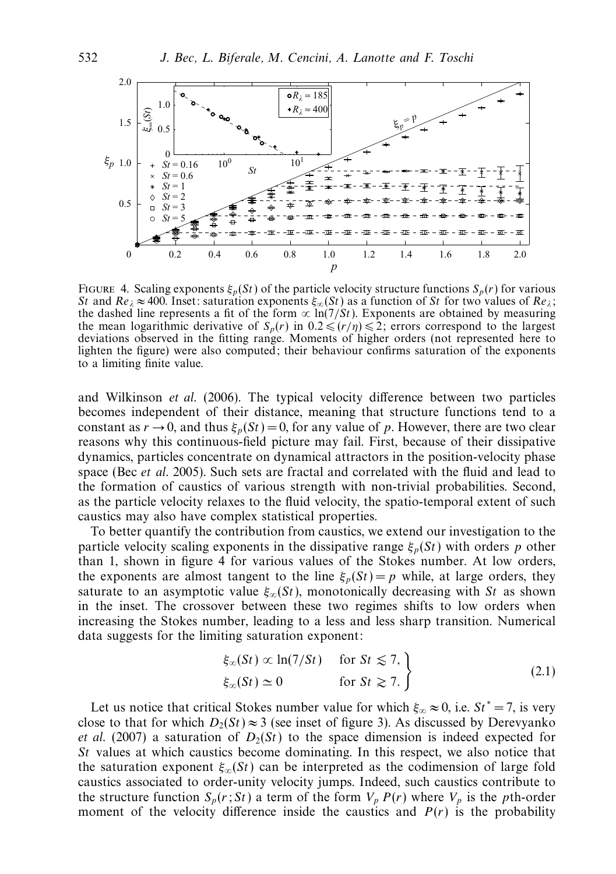

FIGURE 4. Scaling exponents  $\xi_p(St)$  of the particle velocity structure functions  $S_p(r)$  for various St and  $Re_\lambda \approx 400$ . Inset: saturation exponents  $\xi_\infty(St)$  as a function of St for two values of  $Re_\lambda$ ; the dashed line represents a fit of the form  $\propto \ln(7/St)$ . Exponents are obtained by measuring the mean logarithmic derivative of  $S_p(r)$  in  $0.2 \leq (r/\eta) \leq 2$ ; errors correspond to the largest deviations observed in the fitting range. Moments of higher orders (not represented here to lighten the figure) were also computed; their behaviour confirms saturation of the exponents to a limiting finite value.

and Wilkinson et al. (2006). The typical velocity difference between two particles becomes independent of their distance, meaning that structure functions tend to a constant as  $r \to 0$ , and thus  $\xi_p(St) = 0$ , for any value of p. However, there are two clear reasons why this continuous-field picture may fail. First, because of their dissipative dynamics, particles concentrate on dynamical attractors in the position-velocity phase space (Bec *et al.* 2005). Such sets are fractal and correlated with the fluid and lead to the formation of caustics of various strength with non-trivial probabilities. Second, as the particle velocity relaxes to the fluid velocity, the spatio-temporal extent of such caustics may also have complex statistical properties.

To better quantify the contribution from caustics, we extend our investigation to the particle velocity scaling exponents in the dissipative range  $\xi_p(St)$  with orders *p* other than 1, shown in figure 4 for various values of the Stokes number. At low orders, the exponents are almost tangent to the line  $\xi_p(St) = p$  while, at large orders, they saturate to an asymptotic value  $\xi_{\infty}(St)$ , monotonically decreasing with St as shown in the inset. The crossover between these two regimes shifts to low orders when increasing the Stokes number, leading to a less and less sharp transition. Numerical data suggests for the limiting saturation exponent:

$$
\xi_{\infty}(St) \propto \ln(7/St) \quad \text{for } St \lesssim 7, \xi_{\infty}(St) \simeq 0 \quad \text{for } St \gtrsim 7. \tag{2.1}
$$

Let us notice that critical Stokes number value for which  $\xi_{\infty} \approx 0$ , i.e.  $St^* = 7$ , is very close to that for which  $D_2(St) \approx 3$  (see inset of figure 3). As discussed by Derevyanko *et al.* (2007) a saturation of  $D_2(St)$  to the space dimension is indeed expected for St values at which caustics become dominating. In this respect, we also notice that the saturation exponent  $\xi_{\infty}(St)$  can be interpreted as the codimension of large fold caustics associated to order-unity velocity jumps. Indeed, such caustics contribute to the structure function  $S_p(r;St)$  a term of the form  $V_p P(r)$  where  $V_p$  is the *p*th-order moment of the velocity difference inside the caustics and  $P(r)$  is the probability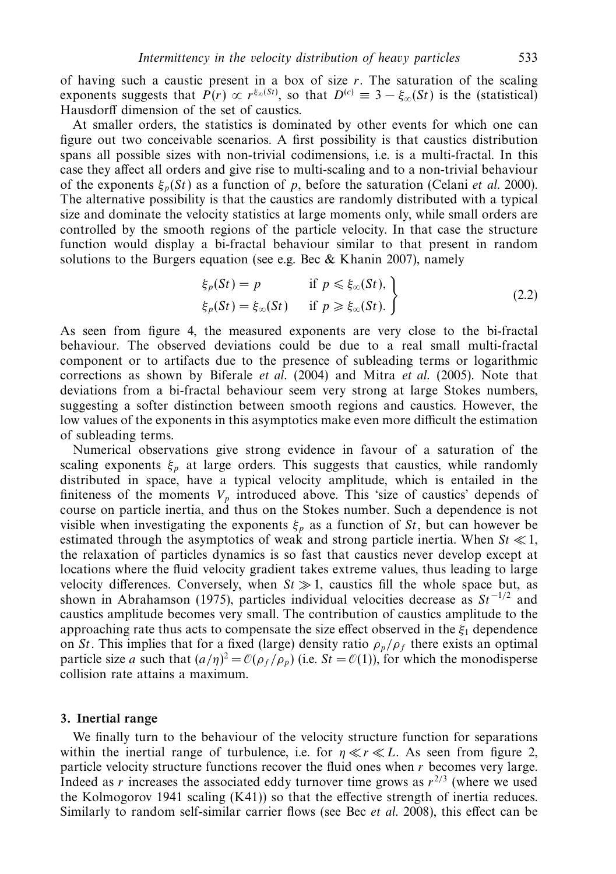of having such a caustic present in a box of size *r*. The saturation of the scaling exponents suggests that  $P(r) \propto r^{\xi_{\infty}(St)}$ , so that  $D^{(c)} \equiv 3 - \xi_{\infty}(St)$  is the (statistical) Hausdorff dimension of the set of caustics.

At smaller orders, the statistics is dominated by other events for which one can figure out two conceivable scenarios. A first possibility is that caustics distribution spans all possible sizes with non-trivial codimensions, i.e. is a multi-fractal. In this case they affect all orders and give rise to multi-scaling and to a non-trivial behaviour of the exponents  $\xi_p(St)$  as a function of p, before the saturation (Celani *et al.* 2000). The alternative possibility is that the caustics are randomly distributed with a typical size and dominate the velocity statistics at large moments only, while small orders are controlled by the smooth regions of the particle velocity. In that case the structure function would display a bi-fractal behaviour similar to that present in random solutions to the Burgers equation (see e.g. Bec  $&$  Khanin 2007), namely

$$
\xi_p(\mathcal{S}t) = p \qquad \text{if } p \leq \xi_\infty(\mathcal{S}t), \xi_p(\mathcal{S}t) = \xi_\infty(\mathcal{S}t) \qquad \text{if } p \geq \xi_\infty(\mathcal{S}t). \tag{2.2}
$$

As seen from figure 4, the measured exponents are very close to the bi-fractal behaviour. The observed deviations could be due to a real small multi-fractal component or to artifacts due to the presence of subleading terms or logarithmic corrections as shown by Biferale et al. (2004) and Mitra et al. (2005). Note that deviations from a bi-fractal behaviour seem very strong at large Stokes numbers, suggesting a softer distinction between smooth regions and caustics. However, the low values of the exponents in this asymptotics make even more difficult the estimation of subleading terms.

Numerical observations give strong evidence in favour of a saturation of the scaling exponents  $\xi_p$  at large orders. This suggests that caustics, while randomly distributed in space, have a typical velocity amplitude, which is entailed in the finiteness of the moments  $V_p$  introduced above. This 'size of caustics' depends of course on particle inertia, and thus on the Stokes number. Such a dependence is not visible when investigating the exponents  $\xi_p$  as a function of St, but can however be estimated through the asymptotics of weak and strong particle inertia. When  $St \ll 1$ , the relaxation of particles dynamics is so fast that caustics never develop except at locations where the fluid velocity gradient takes extreme values, thus leading to large velocity differences. Conversely, when  $St \gg 1$ , caustics fill the whole space but, as shown in Abrahamson (1975), particles individual velocities decrease as St−1*/*<sup>2</sup> and caustics amplitude becomes very small. The contribution of caustics amplitude to the approaching rate thus acts to compensate the size effect observed in the  $\xi_1$  dependence on St. This implies that for a fixed (large) density ratio  $\rho_p/\rho_f$  there exists an optimal particle size *a* such that  $(a/\eta)^2 = \mathcal{O}(\rho_f/\rho_p)$  (i.e.  $St = \mathcal{O}(1)$ ), for which the monodisperse collision rate attains a maximum.

### *3. Inertial range*

We finally turn to the behaviour of the velocity structure function for separations within the inertial range of turbulence, i.e. for  $\eta \ll r \ll L$ . As seen from figure 2, particle velocity structure functions recover the fluid ones when *r* becomes very large. Indeed as *r* increases the associated eddy turnover time grows as  $r^{2/3}$  (where we used the Kolmogorov 1941 scaling (K41)) so that the effective strength of inertia reduces. Similarly to random self-similar carrier flows (see Bec et al. 2008), this effect can be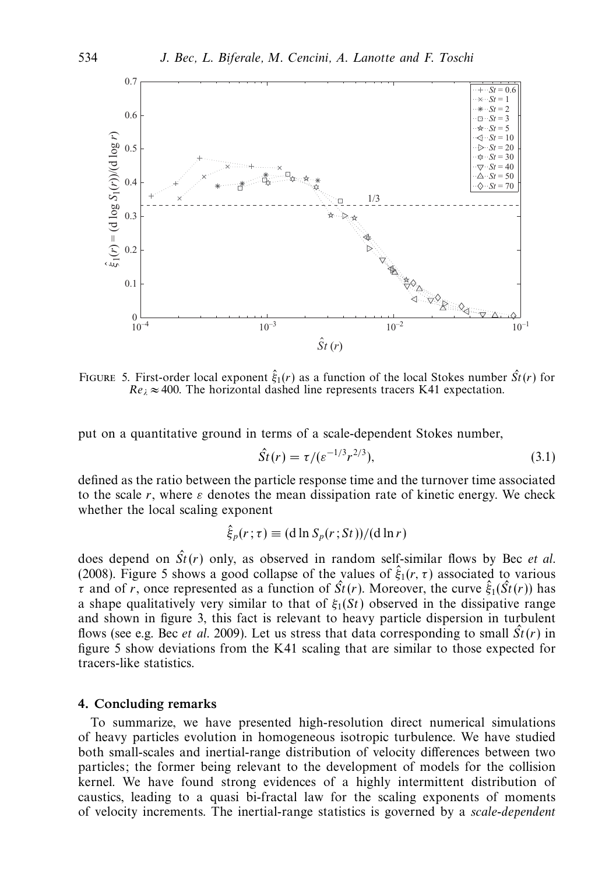

FIGURE 5. First-order local exponent  $\hat{\xi}_1(r)$  as a function of the local Stokes number  $\hat{St}(r)$  for  $Re_\lambda \approx 400$ . The horizontal dashed line represents tracers K41 expectation.

put on a quantitative ground in terms of a scale-dependent Stokes number,

$$
\hat{St}(r) = \tau / (\varepsilon^{-1/3} r^{2/3}),\tag{3.1}
$$

defined as the ratio between the particle response time and the turnover time associated to the scale r, where  $\varepsilon$  denotes the mean dissipation rate of kinetic energy. We check whether the local scaling exponent

$$
\hat{\xi}_p(r;\tau) \equiv (\mathrm{d} \ln S_p(r;St))/( \mathrm{d} \ln r)
$$

does depend on  $\hat{St}(r)$  only, as observed in random self-similar flows by Bec *et al.* (2008). Figure 5 shows a good collapse of the values of  $\hat{\xi}_1(r, \tau)$  associated to various  $\tau$  and of *r*, once represented as a function of  $\hat{St}(r)$ . Moreover, the curve  $\hat{\xi}_1(\hat{St}(r))$  has a shape qualitatively very similar to that of  $\xi_1(St)$  observed in the dissipative range and shown in figure 3, this fact is relevant to heavy particle dispersion in turbulent flows (see e.g. Bec *et al.* 2009). Let us stress that data corresponding to small  $\hat{St}(r)$  in figure 5 show deviations from the K41 scaling that are similar to those expected for tracers-like statistics.

### *4. Concluding remarks*

To summarize, we have presented high-resolution direct numerical simulations of heavy particles evolution in homogeneous isotropic turbulence. We have studied both small-scales and inertial-range distribution of velocity differences between two particles; the former being relevant to the development of models for the collision kernel. We have found strong evidences of a highly intermittent distribution of caustics, leading to a quasi bi-fractal law for the scaling exponents of moments of velocity increments. The inertial-range statistics is governed by a scale-dependent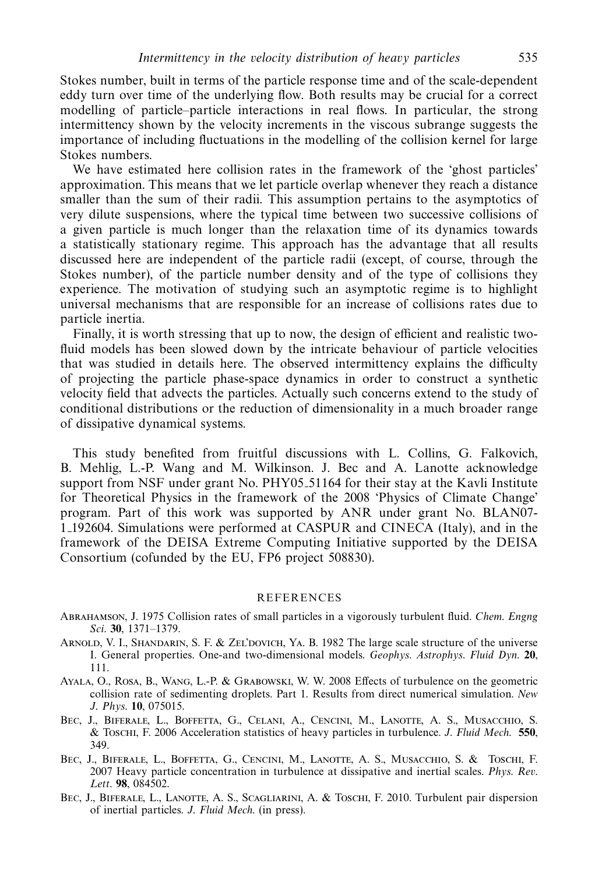Stokes number, built in terms of the particle response time and of the scale-dependent eddy turn over time of the underlying flow. Both results may be crucial for a correct modelling of particle–particle interactions in real flows. In particular, the strong intermittency shown by the velocity increments in the viscous subrange suggests the importance of including fluctuations in the modelling of the collision kernel for large Stokes numbers.

We have estimated here collision rates in the framework of the 'ghost particles' approximation. This means that we let particle overlap whenever they reach a distance smaller than the sum of their radii. This assumption pertains to the asymptotics of very dilute suspensions, where the typical time between two successive collisions of a given particle is much longer than the relaxation time of its dynamics towards a statistically stationary regime. This approach has the advantage that all results discussed here are independent of the particle radii (except, of course, through the Stokes number), of the particle number density and of the type of collisions they experience. The motivation of studying such an asymptotic regime is to highlight universal mechanisms that are responsible for an increase of collisions rates due to particle inertia.

Finally, it is worth stressing that up to now, the design of efficient and realistic twofluid models has been slowed down by the intricate behaviour of particle velocities that was studied in details here. The observed intermittency explains the difficulty of projecting the particle phase-space dynamics in order to construct a synthetic velocity field that advects the particles. Actually such concerns extend to the study of conditional distributions or the reduction of dimensionality in a much broader range of dissipative dynamical systems.

This study benefited from fruitful discussions with L. Collins, G. Falkovich, B. Mehlig, L.-P. Wang and M. Wilkinson. J. Bec and A. Lanotte acknowledge support from NSF under grant No. PHY05 51164 for their stay at the Kavli Institute for Theoretical Physics in the framework of the 2008 'Physics of Climate Change' program. Part of this work was supported by ANR under grant No. BLAN07- 1 192604. Simulations were performed at CASPUR and CINECA (Italy), and in the framework of the DEISA Extreme Computing Initiative supported by the DEISA Consortium (cofunded by the EU, FP6 project 508830).

### REFERENCES

- Abrahamson, J. 1975 Collision rates of small particles in a vigorously turbulent fluid. Chem. Engng Sci. **30**, 1371–1379.
- Arnold, V. I., Shandarin, S. F. & Zel'dovich, Ya. B. 1982 The large scale structure of the universe I. General properties. One-and two-dimensional models. Geophys. Astrophys. Fluid Dyn. **20**, 111.
- Ayala, O., Rosa, B., Wang, L.-P. & Grabowski, W. W. 2008 Effects of turbulence on the geometric collision rate of sedimenting droplets. Part 1. Results from direct numerical simulation. New J. Phys. **10**, 075015.
- Bec, J., Biferale, L., Boffetta, G., Celani, A., Cencini, M., Lanotte, A. S., Musacchio, S. & Toschi, F. 2006 Acceleration statistics of heavy particles in turbulence. J. Fluid Mech. **550**, 349.
- Bec, J., Biferale, L., Boffetta, G., Cencini, M., Lanotte, A. S., Musacchio, S. & Toschi, F. 2007 Heavy particle concentration in turbulence at dissipative and inertial scales. Phys. Rev. Lett. **98**, 084502.
- BEC, J., BIFERALE, L., LANOTTE, A. S., SCAGLIARINI, A. & TOSCHI, F. 2010. Turbulent pair dispersion of inertial particles. J. Fluid Mech. (in press).